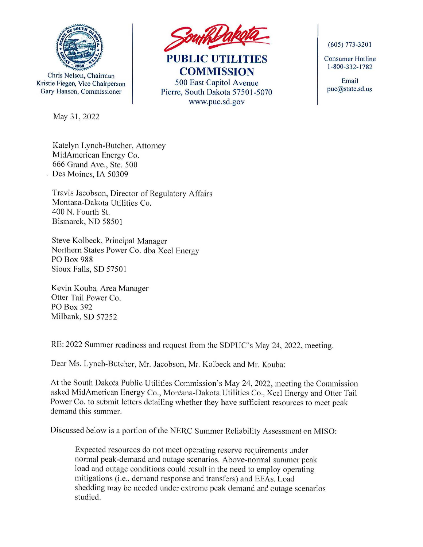

Chris Nelson, Chairman Kristie Fiegen, Vice Chairperson Gary Hanson, Commissioner

May 31, 2022



**PUBLIC UTILITIES COMMISSION**  500 East Capitol Avenue Pierre, South Dakota 57501-5070 www.puc.sd.gov

(605) 773-320 I

Consumer Hotline 1-800-332- 1782

Email puc@state.sd.us

Katelyn Lynch-Butcher, Attorney MidAmerican Energy Co. 666 Grand Ave., Ste. 500 Des Moines, IA 50309

Travis Jacobson, Director of Regulatory Affairs Montana-Dakota Utilities Co. 400 N. Fourth St. Bismarck, ND 58501

Steve Kolbeck, Principal Manager Northern States Power Co. dba Xcel Energy PO Box 988 Sioux Falls, SD 57501

Kevin Kouba, Area Manager Otter Tail Power Co. PO Box 392 Milbank, SD 57252

RE: 2022 Summer readiness and request from the SDPUC's May 24, 2022, meeting.

Dear Ms. Lynch-Butcher, Mr. Jacobson, Mr. Kolbeck and Mr. Kouba:

At the South Dakota Public Utilities Commission's May 24, 2022, meeting the Commission asked MidAmerican Energy Co., Montana-Dakota Utilities Co., Xcel Energy and Otter Tail Power Co. to submit letters detailing whether they have sufficient resources to meet peak demand this summer.

Discussed below is a portion of the NERC Summer Reliability Assessment on MISO:

Expected resources do not meet operating reserve requirements under normal peak-demand and outage scenarios. Above-normal summer peak load and outage conditions could result in the need to employ operating mitigations (i.e., demand response and transfers) and EEAs. Load shedding may be needed under extreme peak demand and outage scenarios studied.